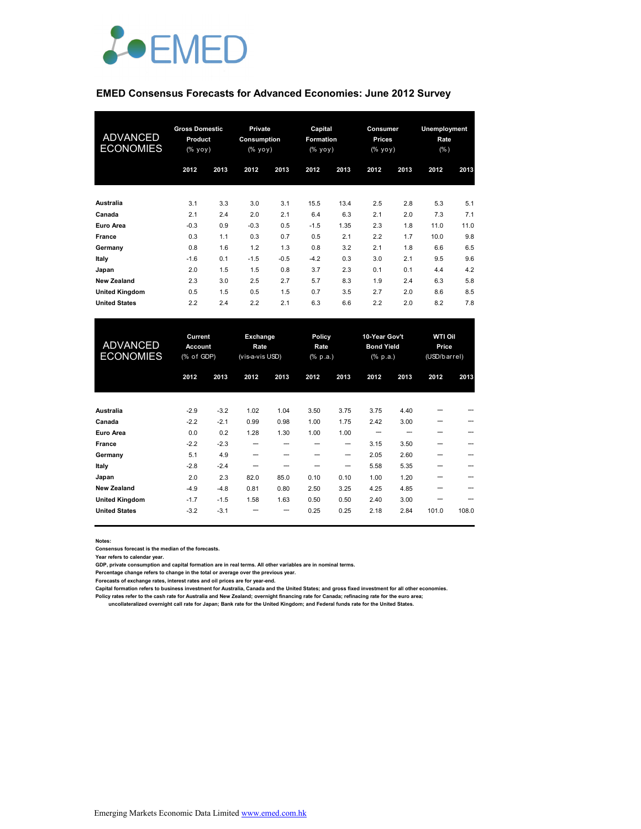

#### **EMED Consensus Forecasts for Advanced Economies: June 2012 Survey**

| <b>ADVANCED</b><br><b>ECONOMIES</b> | <b>Gross Domestic</b><br>Product<br>(% yoy) |      | <b>Private</b><br>Consumption<br>(% |        | Capital<br>Formation<br>(% yoy) |      | <b>Consumer</b><br><b>Prices</b><br>(% yoy) |      | Unemployment<br>Rate<br>$(\% )$ |      |
|-------------------------------------|---------------------------------------------|------|-------------------------------------|--------|---------------------------------|------|---------------------------------------------|------|---------------------------------|------|
|                                     | 2012                                        | 2013 | 2012                                | 2013   | 2012                            | 2013 | 2012                                        | 2013 | 2012                            | 2013 |
| Australia                           | 3.1                                         | 3.3  | 3.0                                 | 3.1    | 15.5                            | 13.4 | 2.5                                         | 2.8  | 5.3                             | 5.1  |
| Canada                              | 2.1                                         | 2.4  | 2.0                                 | 2.1    | 6.4                             | 6.3  | 2.1                                         | 2.0  | 7.3                             | 7.1  |
| Euro Area                           | $-0.3$                                      | 0.9  | $-0.3$                              | 0.5    | $-1.5$                          | 1.35 | 2.3                                         | 1.8  | 11.0                            | 11.0 |
| France                              | 0.3                                         | 1.1  | 0.3                                 | 0.7    | 0.5                             | 2.1  | 2.2                                         | 1.7  | 10.0                            | 9.8  |
| Germany                             | 0.8                                         | 1.6  | 1.2                                 | 1.3    | 0.8                             | 3.2  | 2.1                                         | 1.8  | 6.6                             | 6.5  |
| Italy                               | $-1.6$                                      | 0.1  | $-1.5$                              | $-0.5$ | $-4.2$                          | 0.3  | 3.0                                         | 2.1  | 9.5                             | 9.6  |
| Japan                               | 2.0                                         | 1.5  | 1.5                                 | 0.8    | 3.7                             | 2.3  | 0.1                                         | 0.1  | 4.4                             | 4.2  |
| <b>New Zealand</b>                  | 2.3                                         | 3.0  | 2.5                                 | 2.7    | 5.7                             | 8.3  | 1.9                                         | 2.4  | 6.3                             | 5.8  |
| <b>United Kingdom</b>               | 0.5                                         | 1.5  | 0.5                                 | 1.5    | 0.7                             | 3.5  | 2.7                                         | 2.0  | 8.6                             | 8.5  |
| <b>United States</b>                | 2.2                                         | 2.4  | 2.2                                 | 2.1    | 6.3                             | 6.6  | 2.2                                         | 2.0  | 8.2                             | 7.8  |

| <b>ADVANCED</b><br><b>ECONOMIES</b> | Current<br>Account<br>(% of GDP) |        | Exchange<br>Rate<br>(vis-a-vis USD) |      | Policy<br>Rate<br>(% p.a.) |                   | 10-Year Gov't<br><b>Bond Yield</b><br>$(% \mathbf{a})$ $(% \mathbf{p} \cdot \mathbf{a})$ |      | <b>WTI Oil</b><br>Price<br>(USD/barrel) |       |
|-------------------------------------|----------------------------------|--------|-------------------------------------|------|----------------------------|-------------------|------------------------------------------------------------------------------------------|------|-----------------------------------------|-------|
|                                     | 2012                             | 2013   | 2012                                | 2013 | 2012                       | 2013              | 2012                                                                                     | 2013 | 2012                                    | 2013  |
| Australia                           | $-2.9$                           | $-3.2$ | 1.02                                | 1.04 | 3.50                       | 3.75              | 3.75                                                                                     | 4.40 |                                         |       |
| Canada                              | $-2.2$                           | $-2.1$ | 0.99                                | 0.98 | 1.00                       | 1.75              | 2.42                                                                                     | 3.00 | ---                                     |       |
| Euro Area                           | 0.0                              | 0.2    | 1.28                                | 1.30 | 1.00                       | 1.00              |                                                                                          |      |                                         |       |
| France                              | $-2.2$                           | $-2.3$ | --                                  | ---  |                            | $\hspace{0.05cm}$ | 3.15                                                                                     | 3.50 | --                                      |       |
| Germany                             | 5.1                              | 4.9    |                                     |      |                            | --                | 2.05                                                                                     | 2.60 |                                         |       |
| Italy                               | $-2.8$                           | $-2.4$ |                                     |      |                            | --                | 5.58                                                                                     | 5.35 |                                         |       |
| Japan                               | 2.0                              | 2.3    | 82.0                                | 85.0 | 0.10                       | 0.10              | 1.00                                                                                     | 1.20 |                                         |       |
| <b>New Zealand</b>                  | $-4.9$                           | $-4.8$ | 0.81                                | 0.80 | 2.50                       | 3.25              | 4.25                                                                                     | 4.85 |                                         |       |
| <b>United Kingdom</b>               | $-1.7$                           | $-1.5$ | 1.58                                | 1.63 | 0.50                       | 0.50              | 2.40                                                                                     | 3.00 |                                         |       |
| <b>United States</b>                | $-3.2$                           | $-3.1$ | --                                  | --   | 0.25                       | 0.25              | 2.18                                                                                     | 2.84 | 101.0                                   | 108.0 |

**Notes:** 

**Consensus forecast is the median of the forecasts.**

**Year refers to calendar year.**

**GDP, private consumption and capital formation are in real terms. All other variables are in nominal terms.**

**Percentage change refers to change in the total or average over the previous year.**

**Forecasts of exchange rates, interest rates and oil prices are for year-end.**

**Capital formation refers to business investment for Australia, Canada and the United States; and gross fixed investment for all other economies. Policy rates refer to the cash rate for Australia and New Zealand; overnight financing rate for Canada; refinacing rate for the euro area;** 

 **uncollateralized overnight call rate for Japan; Bank rate for the United Kingdom; and Federal funds rate for the United States.**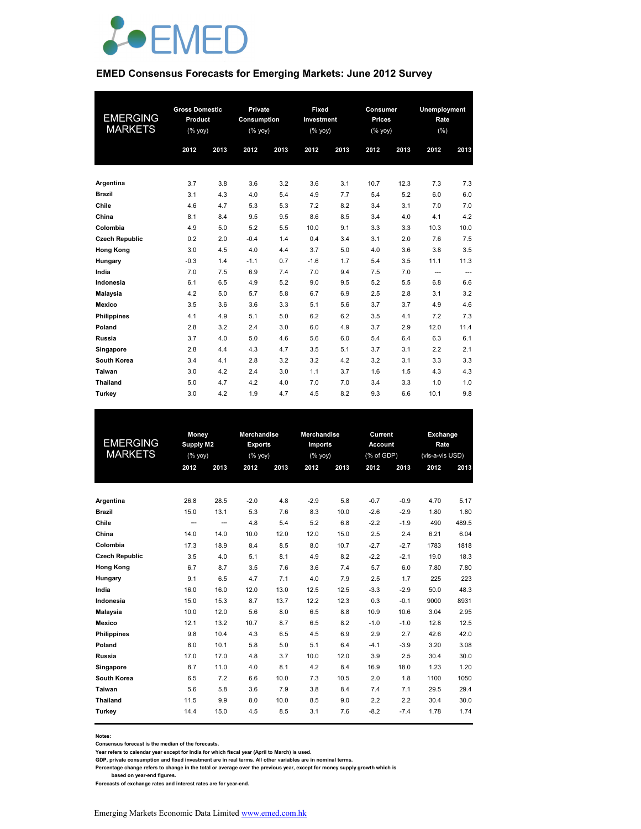

#### **EMED Consensus Forecasts for Emerging Markets: June 2012 Survey**

|                       | <b>Gross Domestic</b> |      | Private     |      | Fixed                                                              |      | Consumer      |      | Unemployment |      |
|-----------------------|-----------------------|------|-------------|------|--------------------------------------------------------------------|------|---------------|------|--------------|------|
| <b>EMERGING</b>       | Product               |      | Consumption |      | Investment                                                         |      | <b>Prices</b> |      | Rate         |      |
| <b>MARKETS</b>        | (%                    |      | (% yoy)     |      | $(% \mathsf{Y}^{\prime }\mathsf{Y}^{\prime }\mathsf{Y}^{\prime })$ |      | (% yoy)       |      | (% )         |      |
|                       | 2012                  | 2013 | 2012        | 2013 | 2012                                                               | 2013 | 2012          | 2013 | 2012         | 2013 |
|                       |                       |      |             |      |                                                                    |      |               |      |              |      |
|                       |                       |      |             |      |                                                                    |      |               |      |              |      |
| Argentina             | 3.7                   | 3.8  | 3.6         | 3.2  | 3.6                                                                | 3.1  | 10.7          | 12.3 | 7.3          | 7.3  |
| <b>Brazil</b>         | 3.1                   | 4.3  | 4.0         | 5.4  | 4.9                                                                | 7.7  | 5.4           | 5.2  | 6.0          | 6.0  |
| Chile                 | 4.6                   | 4.7  | 5.3         | 5.3  | 7.2                                                                | 8.2  | 3.4           | 3.1  | 7.0          | 7.0  |
| China                 | 8.1                   | 8.4  | 9.5         | 9.5  | 8.6                                                                | 8.5  | 3.4           | 4.0  | 4.1          | 4.2  |
| Colombia              | 4.9                   | 5.0  | 5.2         | 5.5  | 10.0                                                               | 9.1  | 3.3           | 3.3  | 10.3         | 10.0 |
| <b>Czech Republic</b> | 0.2                   | 2.0  | $-0.4$      | 1.4  | 0.4                                                                | 3.4  | 3.1           | 2.0  | 7.6          | 7.5  |
| <b>Hong Kong</b>      | 3.0                   | 4.5  | 4.0         | 4.4  | 3.7                                                                | 5.0  | 4.0           | 3.6  | 3.8          | 3.5  |
| Hungary               | $-0.3$                | 1.4  | $-1.1$      | 0.7  | $-1.6$                                                             | 1.7  | 5.4           | 3.5  | 11.1         | 11.3 |
| India                 | 7.0                   | 7.5  | 6.9         | 7.4  | 7.0                                                                | 9.4  | 7.5           | 7.0  | ---          | ---  |
| Indonesia             | 6.1                   | 6.5  | 4.9         | 5.2  | 9.0                                                                | 9.5  | 5.2           | 5.5  | 6.8          | 6.6  |
| <b>Malaysia</b>       | 4.2                   | 5.0  | 5.7         | 5.8  | 6.7                                                                | 6.9  | 2.5           | 2.8  | 3.1          | 3.2  |
| Mexico                | 3.5                   | 3.6  | 3.6         | 3.3  | 5.1                                                                | 5.6  | 3.7           | 3.7  | 4.9          | 4.6  |
| <b>Philippines</b>    | 4.1                   | 4.9  | 5.1         | 5.0  | 6.2                                                                | 6.2  | 3.5           | 4.1  | 7.2          | 7.3  |
| Poland                | 2.8                   | 3.2  | 2.4         | 3.0  | 6.0                                                                | 4.9  | 3.7           | 2.9  | 12.0         | 11.4 |
| Russia                | 3.7                   | 4.0  | 5.0         | 4.6  | 5.6                                                                | 6.0  | 5.4           | 6.4  | 6.3          | 6.1  |
| Singapore             | 2.8                   | 4.4  | 4.3         | 4.7  | 3.5                                                                | 5.1  | 3.7           | 3.1  | 2.2          | 2.1  |
| South Korea           | 3.4                   | 4.1  | 2.8         | 3.2  | 3.2                                                                | 4.2  | 3.2           | 3.1  | 3.3          | 3.3  |
| Taiwan                | 3.0                   | 4.2  | 2.4         | 3.0  | 1.1                                                                | 3.7  | 1.6           | 1.5  | 4.3          | 4.3  |
| <b>Thailand</b>       | 5.0                   | 4.7  | 4.2         | 4.0  | 7.0                                                                | 7.0  | 3.4           | 3.3  | 1.0          | 1.0  |
| Turkey                | 3.0                   | 4.2  | 1.9         | 4.7  | 4.5                                                                | 8.2  | 9.3           | 6.6  | 10.1         | 9.8  |

| EMERGING              | Money   |                  | <b>Merchandise</b><br><b>Exports</b> |      | <b>Merchandise</b> |      | Current<br><b>Account</b> |        | Exchange<br>Rate |       |
|-----------------------|---------|------------------|--------------------------------------|------|--------------------|------|---------------------------|--------|------------------|-------|
| <b>MARKETS</b>        |         | <b>Supply M2</b> |                                      |      | Imports            |      |                           |        |                  |       |
|                       | (% yoy) |                  | (% yoy)                              |      | (% yoy)            |      | (% of GDP)                |        | (vis-a-vis USD)  |       |
|                       | 2012    | 2013             | 2012                                 | 2013 | 2012               | 2013 | 2012                      | 2013   | 2012             | 2013  |
|                       |         |                  |                                      |      |                    |      |                           |        |                  |       |
| Argentina             | 26.8    | 28.5             | $-2.0$                               | 4.8  | $-2.9$             | 5.8  | $-0.7$                    | $-0.9$ | 4.70             | 5.17  |
| <b>Brazil</b>         | 15.0    | 13.1             | 5.3                                  | 7.6  | 8.3                | 10.0 | $-2.6$                    | $-2.9$ | 1.80             | 1.80  |
| Chile                 | --      | --               | 4.8                                  | 5.4  | 5.2                | 6.8  | $-2.2$                    | $-1.9$ | 490              | 489.5 |
| China                 | 14.0    | 14.0             | 10.0                                 | 12.0 | 12.0               | 15.0 | 2.5                       | 2.4    | 6.21             | 6.04  |
| Colombia              | 17.3    | 18.9             | 8.4                                  | 8.5  | 8.0                | 10.7 | $-2.7$                    | $-2.7$ | 1783             | 1818  |
| <b>Czech Republic</b> | 3.5     | 4.0              | 5.1                                  | 8.1  | 4.9                | 8.2  | $-2.2$                    | $-2.1$ | 19.0             | 18.3  |
| <b>Hong Kong</b>      | 6.7     | 8.7              | 3.5                                  | 7.6  | 3.6                | 7.4  | 5.7                       | 6.0    | 7.80             | 7.80  |
| Hungary               | 9.1     | 6.5              | 4.7                                  | 7.1  | 4.0                | 7.9  | 2.5                       | 1.7    | 225              | 223   |
| India                 | 16.0    | 16.0             | 12.0                                 | 13.0 | 12.5               | 12.5 | $-3.3$                    | $-2.9$ | 50.0             | 48.3  |
| Indonesia             | 15.0    | 15.3             | 8.7                                  | 13.7 | 12.2               | 12.3 | 0.3                       | $-0.1$ | 9000             | 8931  |
| <b>Malaysia</b>       | 10.0    | 12.0             | 5.6                                  | 8.0  | 6.5                | 8.8  | 10.9                      | 10.6   | 3.04             | 2.95  |
| Mexico                | 12.1    | 13.2             | 10.7                                 | 8.7  | 6.5                | 8.2  | $-1.0$                    | $-1.0$ | 12.8             | 12.5  |
| <b>Philippines</b>    | 9.8     | 10.4             | 4.3                                  | 6.5  | 4.5                | 6.9  | 2.9                       | 2.7    | 42.6             | 42.0  |
| Poland                | 8.0     | 10.1             | 5.8                                  | 5.0  | 5.1                | 6.4  | $-4.1$                    | $-3.9$ | 3.20             | 3.08  |
| Russia                | 17.0    | 17.0             | 4.8                                  | 3.7  | 10.0               | 12.0 | 3.9                       | 2.5    | 30.4             | 30.0  |
| Singapore             | 8.7     | 11.0             | 4.0                                  | 8.1  | 4.2                | 8.4  | 16.9                      | 18.0   | 1.23             | 1.20  |
| South Korea           | 6.5     | 7.2              | 6.6                                  | 10.0 | 7.3                | 10.5 | 2.0                       | 1.8    | 1100             | 1050  |
| Taiwan                | 5.6     | 5.8              | 3.6                                  | 7.9  | 3.8                | 8.4  | 7.4                       | 7.1    | 29.5             | 29.4  |
| <b>Thailand</b>       | 11.5    | 9.9              | 8.0                                  | 10.0 | 8.5                | 9.0  | 2.2                       | 2.2    | 30.4             | 30.0  |
| Turkey                | 14.4    | 15.0             | 4.5                                  | 8.5  | 3.1                | 7.6  | $-8.2$                    | $-7.4$ | 1.78             | 1.74  |
|                       |         |                  |                                      |      |                    |      |                           |        |                  |       |

**Notes:** 

**Consensus forecast is the median of the forecasts.**

**Year refers to calendar year except for India for which fiscal year (April to March) is used.**

**GDP, private consumption and fixed investment are in real terms. All other variables are in nominal terms.**

**Percentage change refers to change in the total or average over the previous year, except for money supply growth which is** 

 **based on year-end figures. Forecasts of exchange rates and interest rates are for year-end.**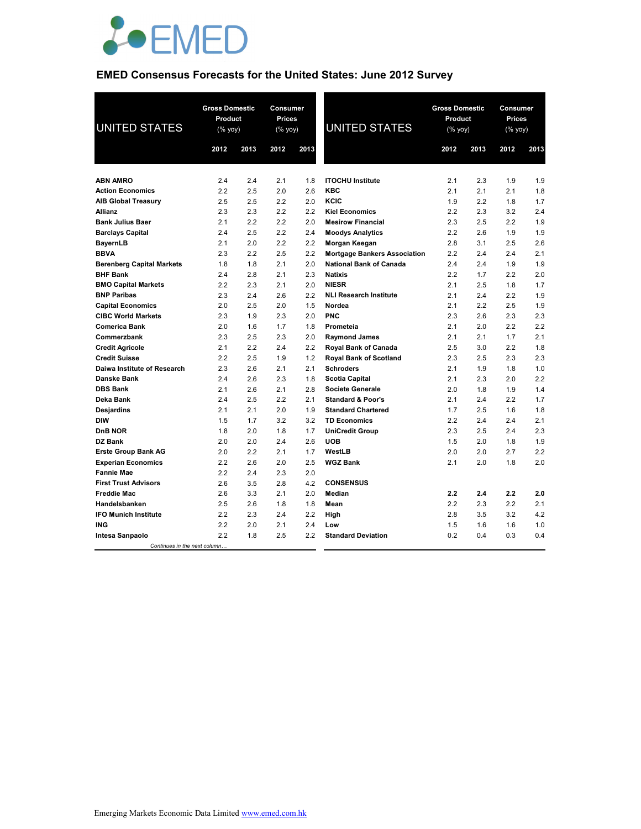

## **EMED Consensus Forecasts for the United States: June 2012 Survey**

| <b>UNITED STATES</b>             | <b>Gross Domestic</b><br>Product<br>(% yoy) |      | Consumer<br>Prices<br>(% yoy) |      | <b>UNITED STATES</b>                | <b>Gross Domestic</b><br>Product<br>(% yoy) |      |      | Consumer<br><b>Prices</b><br>(% yoy) |  |
|----------------------------------|---------------------------------------------|------|-------------------------------|------|-------------------------------------|---------------------------------------------|------|------|--------------------------------------|--|
|                                  | 2012                                        | 2013 | 2012                          | 2013 |                                     | 2012                                        | 2013 | 2012 | 2013                                 |  |
|                                  |                                             |      |                               |      |                                     |                                             |      |      |                                      |  |
| <b>ABN AMRO</b>                  | 2.4                                         | 2.4  | 2.1                           | 1.8  | <b>ITOCHU Institute</b>             | 2.1                                         | 2.3  | 1.9  | 1.9                                  |  |
| <b>Action Economics</b>          | 2.2                                         | 2.5  | 2.0                           | 2.6  | <b>KBC</b>                          | 2.1                                         | 2.1  | 2.1  | 1.8                                  |  |
| <b>AIB Global Treasury</b>       | 2.5                                         | 2.5  | 2.2                           | 2.0  | KCIC                                | 1.9                                         | 2.2  | 1.8  | 1.7                                  |  |
| <b>Allianz</b>                   | 2.3                                         | 2.3  | 2.2                           | 2.2  | <b>Kiel Economics</b>               | 2.2                                         | 2.3  | 3.2  | 2.4                                  |  |
| <b>Bank Julius Baer</b>          | 2.1                                         | 2.2  | 2.2                           | 2.0  | <b>Mesirow Financial</b>            | 2.3                                         | 2.5  | 2.2  | 1.9                                  |  |
| <b>Barclays Capital</b>          | 2.4                                         | 2.5  | 2.2                           | 2.4  | <b>Moodys Analytics</b>             | 2.2                                         | 2.6  | 1.9  | 1.9                                  |  |
| <b>BayernLB</b>                  | 2.1                                         | 2.0  | 2.2                           | 2.2  | Morgan Keegan                       | 2.8                                         | 3.1  | 2.5  | 2.6                                  |  |
| <b>BBVA</b>                      | 2.3                                         | 2.2  | 2.5                           | 2.2  | <b>Mortgage Bankers Association</b> | 2.2                                         | 2.4  | 2.4  | 2.1                                  |  |
| <b>Berenberg Capital Markets</b> | 1.8                                         | 1.8  | 2.1                           | 2.0  | <b>National Bank of Canada</b>      | 2.4                                         | 2.4  | 1.9  | 1.9                                  |  |
| <b>BHF Bank</b>                  | 2.4                                         | 2.8  | 2.1                           | 2.3  | <b>Natixis</b>                      | 2.2                                         | 1.7  | 2.2  | 2.0                                  |  |
| <b>BMO Capital Markets</b>       | 2.2                                         | 2.3  | 2.1                           | 2.0  | <b>NIESR</b>                        | 2.1                                         | 2.5  | 1.8  | 1.7                                  |  |
| <b>BNP Paribas</b>               | 2.3                                         | 2.4  | 2.6                           | 2.2  | <b>NLI Research Institute</b>       | 2.1                                         | 2.4  | 2.2  | 1.9                                  |  |
| <b>Capital Economics</b>         | 2.0                                         | 2.5  | 2.0                           | 1.5  | Nordea                              | 2.1                                         | 2.2  | 2.5  | 1.9                                  |  |
| <b>CIBC World Markets</b>        | 2.3                                         | 1.9  | 2.3                           | 2.0  | <b>PNC</b>                          | 2.3                                         | 2.6  | 2.3  | 2.3                                  |  |
| <b>Comerica Bank</b>             | 2.0                                         | 1.6  | 1.7                           | 1.8  | Prometeia                           | 2.1                                         | 2.0  | 2.2  | 2.2                                  |  |
| Commerzbank                      | 2.3                                         | 2.5  | 2.3                           | 2.0  | <b>Raymond James</b>                | 2.1                                         | 2.1  | 1.7  | 2.1                                  |  |
| <b>Credit Agricole</b>           | 2.1                                         | 2.2  | 2.4                           | 2.2  | Royal Bank of Canada                | 2.5                                         | 3.0  | 2.2  | 1.8                                  |  |
| <b>Credit Suisse</b>             | 2.2                                         | 2.5  | 1.9                           | 1.2  | <b>Royal Bank of Scotland</b>       | 2.3                                         | 2.5  | 2.3  | 2.3                                  |  |
| Daiwa Institute of Research      | 2.3                                         | 2.6  | 2.1                           | 2.1  | <b>Schroders</b>                    | 2.1                                         | 1.9  | 1.8  | 1.0                                  |  |
| <b>Danske Bank</b>               | 2.4                                         | 2.6  | 2.3                           | 1.8  | <b>Scotia Capital</b>               | 2.1                                         | 2.3  | 2.0  | 2.2                                  |  |
| <b>DBS Bank</b>                  | 2.1                                         | 2.6  | 2.1                           | 2.8  | <b>Societe Generale</b>             | 2.0                                         | 1.8  | 1.9  | 1.4                                  |  |
| Deka Bank                        | 2.4                                         | 2.5  | 2.2                           | 2.1  | <b>Standard &amp; Poor's</b>        | 2.1                                         | 2.4  | 2.2  | 1.7                                  |  |
| Desjardins                       | 2.1                                         | 2.1  | 2.0                           | 1.9  | <b>Standard Chartered</b>           | 1.7                                         | 2.5  | 1.6  | 1.8                                  |  |
| <b>DIW</b>                       | 1.5                                         | 1.7  | 3.2                           | 3.2  | <b>TD Economics</b>                 | 2.2                                         | 2.4  | 2.4  | 2.1                                  |  |
| D <sub>n</sub> B NOR             | 1.8                                         | 2.0  | 1.8                           | 1.7  | <b>UniCredit Group</b>              | 2.3                                         | 2.5  | 2.4  | 2.3                                  |  |
| DZ Bank                          | 2.0                                         | 2.0  | 2.4                           | 2.6  | <b>UOB</b>                          | 1.5                                         | 2.0  | 1.8  | 1.9                                  |  |
| <b>Erste Group Bank AG</b>       | 2.0                                         | 2.2  | 2.1                           | 1.7  | WestLB                              | 2.0                                         | 2.0  | 2.7  | 2.2                                  |  |
| <b>Experian Economics</b>        | 2.2                                         | 2.6  | 2.0                           | 2.5  | <b>WGZ Bank</b>                     | 2.1                                         | 2.0  | 1.8  | 2.0                                  |  |
| <b>Fannie Mae</b>                | 2.2                                         | 2.4  | 2.3                           | 2.0  |                                     |                                             |      |      |                                      |  |
| <b>First Trust Advisors</b>      | 2.6                                         | 3.5  | 2.8                           | 4.2  | <b>CONSENSUS</b>                    |                                             |      |      |                                      |  |
| <b>Freddie Mac</b>               | 2.6                                         | 3.3  | 2.1                           | 2.0  | <b>Median</b>                       | 2.2                                         | 2.4  | 2.2  | 2.0                                  |  |
| Handelsbanken                    | 2.5                                         | 2.6  | 1.8                           | 1.8  | Mean                                | 2.2                                         | 2.3  | 2.2  | 2.1                                  |  |
| <b>IFO Munich Institute</b>      | 2.2                                         | 2.3  | 2.4                           | 2.2  | High                                | 2.8                                         | 3.5  | 3.2  | 4.2                                  |  |
| <b>ING</b>                       | 2.2                                         | 2.0  | 2.1                           | 2.4  | Low                                 | 1.5                                         | 1.6  | 1.6  | 1.0                                  |  |
| Intesa Sanpaolo                  | 2.2                                         | 1.8  | 2.5                           | 2.2  | <b>Standard Deviation</b>           | 0.2                                         | 0.4  | 0.3  | 0.4                                  |  |
| Continues in the next column     |                                             |      |                               |      |                                     |                                             |      |      |                                      |  |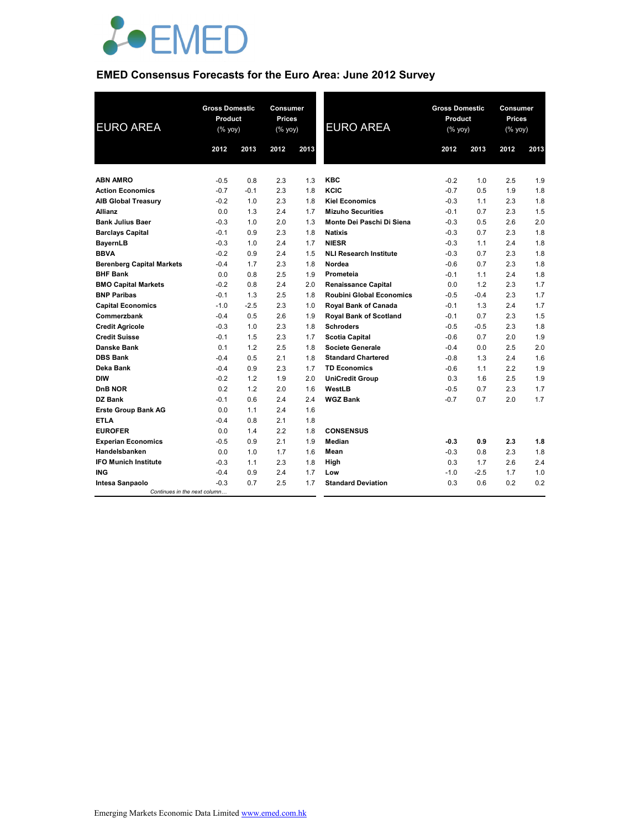

# **EMED Consensus Forecasts for the Euro Area: June 2012 Survey**

| <b>EURO AREA</b>                 | <b>Gross Domestic</b><br>Product<br>$(% \mathsf{Y}^{\prime }\mathsf{Y}^{\prime }\mathsf{Y}^{\prime })$ |        | <b>Consumer</b><br><b>Prices</b><br>(% yoy) |      | <b>EURO AREA</b>                | <b>Gross Domestic</b><br>Product<br>(% yoy) |        | Consumer<br><b>Prices</b><br>$(% \mathsf{Y}^{\prime }\mathsf{Y}^{\prime }\mathsf{Y}^{\prime })$ |      |
|----------------------------------|--------------------------------------------------------------------------------------------------------|--------|---------------------------------------------|------|---------------------------------|---------------------------------------------|--------|-------------------------------------------------------------------------------------------------|------|
|                                  | 2012                                                                                                   | 2013   | 2012                                        | 2013 |                                 | 2012                                        | 2013   | 2012                                                                                            | 2013 |
|                                  |                                                                                                        |        |                                             |      |                                 |                                             |        |                                                                                                 |      |
| <b>ABN AMRO</b>                  | $-0.5$                                                                                                 | 0.8    | 2.3                                         | 1.3  | <b>KBC</b>                      | $-0.2$                                      | 1.0    | 2.5                                                                                             | 1.9  |
| <b>Action Economics</b>          | $-0.7$                                                                                                 | $-0.1$ | 2.3                                         | 1.8  | KCIC                            | $-0.7$                                      | 0.5    | 1.9                                                                                             | 1.8  |
| <b>AIB Global Treasury</b>       | $-0.2$                                                                                                 | 1.0    | 2.3                                         | 1.8  | <b>Kiel Economics</b>           | $-0.3$                                      | 1.1    | 2.3                                                                                             | 1.8  |
| <b>Allianz</b>                   | 0.0                                                                                                    | 1.3    | 2.4                                         | 1.7  | <b>Mizuho Securities</b>        | $-0.1$                                      | 0.7    | 2.3                                                                                             | 1.5  |
| <b>Bank Julius Baer</b>          | $-0.3$                                                                                                 | 1.0    | 2.0                                         | 1.3  | Monte Dei Paschi Di Siena       | $-0.3$                                      | 0.5    | 2.6                                                                                             | 2.0  |
| <b>Barclays Capital</b>          | $-0.1$                                                                                                 | 0.9    | 2.3                                         | 1.8  | <b>Natixis</b>                  | $-0.3$                                      | 0.7    | 2.3                                                                                             | 1.8  |
| <b>BayernLB</b>                  | $-0.3$                                                                                                 | 1.0    | 2.4                                         | 1.7  | <b>NIESR</b>                    | $-0.3$                                      | 1.1    | 2.4                                                                                             | 1.8  |
| <b>BBVA</b>                      | $-0.2$                                                                                                 | 0.9    | 2.4                                         | 1.5  | <b>NLI Research Institute</b>   | $-0.3$                                      | 0.7    | 2.3                                                                                             | 1.8  |
| <b>Berenberg Capital Markets</b> | $-0.4$                                                                                                 | 1.7    | 2.3                                         | 1.8  | Nordea                          | $-0.6$                                      | 0.7    | 2.3                                                                                             | 1.8  |
| <b>BHF Bank</b>                  | 0.0                                                                                                    | 0.8    | 2.5                                         | 1.9  | Prometeia                       | $-0.1$                                      | 1.1    | 2.4                                                                                             | 1.8  |
| <b>BMO Capital Markets</b>       | $-0.2$                                                                                                 | 0.8    | 2.4                                         | 2.0  | <b>Renaissance Capital</b>      | 0.0                                         | 1.2    | 2.3                                                                                             | 1.7  |
| <b>BNP Paribas</b>               | $-0.1$                                                                                                 | 1.3    | 2.5                                         | 1.8  | <b>Roubini Global Economics</b> | $-0.5$                                      | $-0.4$ | 2.3                                                                                             | 1.7  |
| <b>Capital Economics</b>         | $-1.0$                                                                                                 | $-2.5$ | 2.3                                         | 1.0  | <b>Royal Bank of Canada</b>     | $-0.1$                                      | 1.3    | 2.4                                                                                             | 1.7  |
| Commerzbank                      | $-0.4$                                                                                                 | 0.5    | 2.6                                         | 1.9  | Royal Bank of Scotland          | $-0.1$                                      | 0.7    | 2.3                                                                                             | 1.5  |
| <b>Credit Agricole</b>           | $-0.3$                                                                                                 | 1.0    | 2.3                                         | 1.8  | <b>Schroders</b>                | $-0.5$                                      | $-0.5$ | 2.3                                                                                             | 1.8  |
| <b>Credit Suisse</b>             | $-0.1$                                                                                                 | 1.5    | 2.3                                         | 1.7  | <b>Scotia Capital</b>           | $-0.6$                                      | 0.7    | 2.0                                                                                             | 1.9  |
| Danske Bank                      | 0.1                                                                                                    | 1.2    | 2.5                                         | 1.8  | Societe Generale                | $-0.4$                                      | 0.0    | 2.5                                                                                             | 2.0  |
| <b>DBS Bank</b>                  | $-0.4$                                                                                                 | 0.5    | 2.1                                         | 1.8  | <b>Standard Chartered</b>       | $-0.8$                                      | 1.3    | 2.4                                                                                             | 1.6  |
| Deka Bank                        | $-0.4$                                                                                                 | 0.9    | 2.3                                         | 1.7  | <b>TD Economics</b>             | $-0.6$                                      | 1.1    | 2.2                                                                                             | 1.9  |
| <b>DIW</b>                       | $-0.2$                                                                                                 | 1.2    | 1.9                                         | 2.0  | <b>UniCredit Group</b>          | 0.3                                         | 1.6    | 2.5                                                                                             | 1.9  |
| <b>DnB NOR</b>                   | 0.2                                                                                                    | 1.2    | 2.0                                         | 1.6  | WestLB                          | $-0.5$                                      | 0.7    | 2.3                                                                                             | 1.7  |
| DZ Bank                          | $-0.1$                                                                                                 | 0.6    | 2.4                                         | 2.4  | <b>WGZ Bank</b>                 | $-0.7$                                      | 0.7    | 2.0                                                                                             | 1.7  |
| <b>Erste Group Bank AG</b>       | 0.0                                                                                                    | 1.1    | 2.4                                         | 1.6  |                                 |                                             |        |                                                                                                 |      |
| <b>ETLA</b>                      | $-0.4$                                                                                                 | 0.8    | 2.1                                         | 1.8  |                                 |                                             |        |                                                                                                 |      |
| <b>EUROFER</b>                   | 0.0                                                                                                    | 1.4    | 2.2                                         | 1.8  | <b>CONSENSUS</b>                |                                             |        |                                                                                                 |      |
| <b>Experian Economics</b>        | $-0.5$                                                                                                 | 0.9    | 2.1                                         | 1.9  | Median                          | $-0.3$                                      | 0.9    | 2.3                                                                                             | 1.8  |
| Handelsbanken                    | 0.0                                                                                                    | 1.0    | 1.7                                         | 1.6  | Mean                            | $-0.3$                                      | 0.8    | 2.3                                                                                             | 1.8  |
| <b>IFO Munich Institute</b>      | $-0.3$                                                                                                 | 1.1    | 2.3                                         | 1.8  | High                            | 0.3                                         | 1.7    | 2.6                                                                                             | 2.4  |
| <b>ING</b>                       | $-0.4$                                                                                                 | 0.9    | 2.4                                         | 1.7  | Low                             | $-1.0$                                      | $-2.5$ | 1.7                                                                                             | 1.0  |
| Intesa Sanpaolo                  | $-0.3$                                                                                                 | 0.7    | 2.5                                         | 1.7  | <b>Standard Deviation</b>       | 0.3                                         | 0.6    | 0.2                                                                                             | 0.2  |
| Continues in the next column     |                                                                                                        |        |                                             |      |                                 |                                             |        |                                                                                                 |      |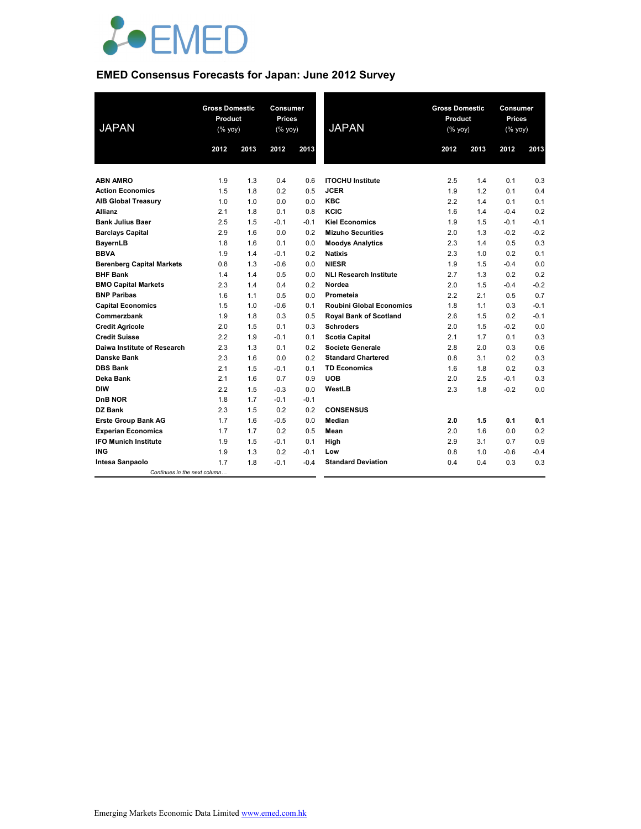

## **EMED Consensus Forecasts for Japan: June 2012 Survey**

| <b>JAPAN</b>                     | <b>Gross Domestic</b><br>Product<br>(% yoy) |      | Consumer<br><b>Prices</b><br>(% yoy) |        | <b>JAPAN</b>                    | <b>Gross Domestic</b><br>Product<br>$(\%$ yoy) |      | Consumer<br><b>Prices</b><br>(% yoy) |        |
|----------------------------------|---------------------------------------------|------|--------------------------------------|--------|---------------------------------|------------------------------------------------|------|--------------------------------------|--------|
|                                  | 2012                                        | 2013 | 2012                                 | 2013   |                                 | 2012                                           | 2013 | 2012                                 | 2013   |
|                                  |                                             |      |                                      |        |                                 |                                                |      |                                      |        |
| <b>ABN AMRO</b>                  | 1.9                                         | 1.3  | 0.4                                  | 0.6    | <b>ITOCHU Institute</b>         | 2.5                                            | 1.4  | 0.1                                  | 0.3    |
| <b>Action Economics</b>          | 1.5                                         | 1.8  | 0.2                                  | 0.5    | <b>JCER</b>                     | 1.9                                            | 1.2  | 0.1                                  | 0.4    |
| <b>AIB Global Treasury</b>       | 1.0                                         | 1.0  | 0.0                                  | 0.0    | <b>KBC</b>                      | 2.2                                            | 1.4  | 0.1                                  | 0.1    |
| <b>Allianz</b>                   | 2.1                                         | 1.8  | 0.1                                  | 0.8    | KCIC                            | 1.6                                            | 1.4  | $-0.4$                               | 0.2    |
| <b>Bank Julius Baer</b>          | 2.5                                         | 1.5  | $-0.1$                               | $-0.1$ | <b>Kiel Economics</b>           | 1.9                                            | 1.5  | $-0.1$                               | $-0.1$ |
| <b>Barclays Capital</b>          | 2.9                                         | 1.6  | 0.0                                  | 0.2    | <b>Mizuho Securities</b>        | 2.0                                            | 1.3  | $-0.2$                               | $-0.2$ |
| <b>BayernLB</b>                  | 1.8                                         | 1.6  | 0.1                                  | 0.0    | <b>Moodys Analytics</b>         | 2.3                                            | 1.4  | 0.5                                  | 0.3    |
| <b>BBVA</b>                      | 1.9                                         | 1.4  | $-0.1$                               | 0.2    | <b>Natixis</b>                  | 2.3                                            | 1.0  | 0.2                                  | 0.1    |
| <b>Berenberg Capital Markets</b> | 0.8                                         | 1.3  | $-0.6$                               | 0.0    | <b>NIESR</b>                    | 1.9                                            | 1.5  | $-0.4$                               | 0.0    |
| <b>BHF Bank</b>                  | 1.4                                         | 1.4  | 0.5                                  | 0.0    | <b>NLI Research Institute</b>   | 2.7                                            | 1.3  | 0.2                                  | 0.2    |
| <b>BMO Capital Markets</b>       | 2.3                                         | 1.4  | 0.4                                  | 0.2    | Nordea                          | 2.0                                            | 1.5  | $-0.4$                               | $-0.2$ |
| <b>BNP Paribas</b>               | 1.6                                         | 1.1  | 0.5                                  | 0.0    | Prometeia                       | 2.2                                            | 2.1  | 0.5                                  | 0.7    |
| <b>Capital Economics</b>         | 1.5                                         | 1.0  | $-0.6$                               | 0.1    | <b>Roubini Global Economics</b> | 1.8                                            | 1.1  | 0.3                                  | $-0.1$ |
| Commerzbank                      | 1.9                                         | 1.8  | 0.3                                  | 0.5    | Royal Bank of Scotland          | 2.6                                            | 1.5  | 0.2                                  | $-0.1$ |
| <b>Credit Agricole</b>           | 2.0                                         | 1.5  | 0.1                                  | 0.3    | <b>Schroders</b>                | 2.0                                            | 1.5  | $-0.2$                               | 0.0    |
| <b>Credit Suisse</b>             | 2.2                                         | 1.9  | $-0.1$                               | 0.1    | <b>Scotia Capital</b>           | 2.1                                            | 1.7  | 0.1                                  | 0.3    |
| Daiwa Institute of Research      | 2.3                                         | 1.3  | 0.1                                  | 0.2    | <b>Societe Generale</b>         | 2.8                                            | 2.0  | 0.3                                  | 0.6    |
| <b>Danske Bank</b>               | 2.3                                         | 1.6  | 0.0                                  | 0.2    | <b>Standard Chartered</b>       | 0.8                                            | 3.1  | 0.2                                  | 0.3    |
| <b>DBS Bank</b>                  | 2.1                                         | 1.5  | $-0.1$                               | 0.1    | <b>TD Economics</b>             | 1.6                                            | 1.8  | 0.2                                  | 0.3    |
| Deka Bank                        | 2.1                                         | 1.6  | 0.7                                  | 0.9    | <b>UOB</b>                      | 2.0                                            | 2.5  | $-0.1$                               | 0.3    |
| <b>DIW</b>                       | 2.2                                         | 1.5  | $-0.3$                               | 0.0    | WestLB                          | 2.3                                            | 1.8  | $-0.2$                               | 0.0    |
| <b>DnB NOR</b>                   | 1.8                                         | 1.7  | $-0.1$                               | $-0.1$ |                                 |                                                |      |                                      |        |
| DZ Bank                          | 2.3                                         | 1.5  | 0.2                                  | 0.2    | <b>CONSENSUS</b>                |                                                |      |                                      |        |
| <b>Erste Group Bank AG</b>       | 1.7                                         | 1.6  | $-0.5$                               | 0.0    | Median                          | 2.0                                            | 1.5  | 0.1                                  | 0.1    |
| <b>Experian Economics</b>        | 1.7                                         | 1.7  | 0.2                                  | 0.5    | Mean                            | 2.0                                            | 1.6  | 0.0                                  | 0.2    |
| <b>IFO Munich Institute</b>      | 1.9                                         | 1.5  | $-0.1$                               | 0.1    | High                            | 2.9                                            | 3.1  | 0.7                                  | 0.9    |
| ING                              | 1.9                                         | 1.3  | 0.2                                  | $-0.1$ | Low                             | 0.8                                            | 1.0  | $-0.6$                               | $-0.4$ |
| Intesa Sanpaolo                  | 1.7                                         | 1.8  | $-0.1$                               | $-0.4$ | <b>Standard Deviation</b>       | 0.4                                            | 0.4  | 0.3                                  | 0.3    |
| Continues in the next column     |                                             |      |                                      |        |                                 |                                                |      |                                      |        |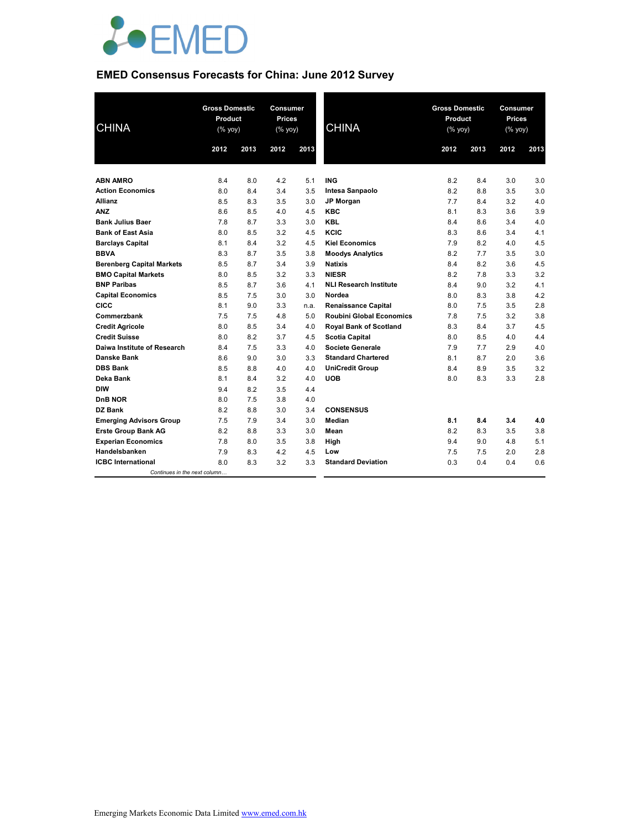

## **EMED Consensus Forecasts for China: June 2012 Survey**

| <b>CHINA</b>                     | <b>Gross Domestic</b><br>Product<br>(% yoy) |      | <b>Consumer</b><br>Prices<br>(% yoy) |      | <b>CHINA</b>                    | <b>Gross Domestic</b><br>Product<br>$(% \mathsf{Y}^{\prime }\mathsf{Y}^{\prime }\mathsf{Y}^{\prime })$ |      | Consumer<br><b>Prices</b><br>(% yoy) |      |
|----------------------------------|---------------------------------------------|------|--------------------------------------|------|---------------------------------|--------------------------------------------------------------------------------------------------------|------|--------------------------------------|------|
|                                  | 2012                                        | 2013 | 2012                                 | 2013 |                                 | 2012                                                                                                   | 2013 | 2012                                 | 2013 |
|                                  |                                             |      |                                      |      |                                 |                                                                                                        |      |                                      |      |
| <b>ABN AMRO</b>                  | 8.4                                         | 8.0  | 4.2                                  | 5.1  | <b>ING</b>                      | 8.2                                                                                                    | 8.4  | 3.0                                  | 3.0  |
| <b>Action Economics</b>          | 8.0                                         | 8.4  | 3.4                                  | 3.5  | Intesa Sanpaolo                 | 8.2                                                                                                    | 8.8  | 3.5                                  | 3.0  |
| <b>Allianz</b>                   | 8.5                                         | 8.3  | 3.5                                  | 3.0  | <b>JP Morgan</b>                | 7.7                                                                                                    | 8.4  | 3.2                                  | 4.0  |
| <b>ANZ</b>                       | 8.6                                         | 8.5  | 4.0                                  | 4.5  | <b>KBC</b>                      | 8.1                                                                                                    | 8.3  | 3.6                                  | 3.9  |
| <b>Bank Julius Baer</b>          | 7.8                                         | 8.7  | 3.3                                  | 3.0  | <b>KBL</b>                      | 8.4                                                                                                    | 8.6  | 3.4                                  | 4.0  |
| <b>Bank of East Asia</b>         | 8.0                                         | 8.5  | 3.2                                  | 4.5  | KCIC                            | 8.3                                                                                                    | 8.6  | 3.4                                  | 4.1  |
| <b>Barclays Capital</b>          | 8.1                                         | 8.4  | 3.2                                  | 4.5  | <b>Kiel Economics</b>           | 7.9                                                                                                    | 8.2  | 4.0                                  | 4.5  |
| <b>BBVA</b>                      | 8.3                                         | 8.7  | 3.5                                  | 3.8  | <b>Moodys Analytics</b>         | 8.2                                                                                                    | 7.7  | 3.5                                  | 3.0  |
| <b>Berenberg Capital Markets</b> | 8.5                                         | 8.7  | 3.4                                  | 3.9  | <b>Natixis</b>                  | 8.4                                                                                                    | 8.2  | 3.6                                  | 4.5  |
| <b>BMO Capital Markets</b>       | 8.0                                         | 8.5  | 3.2                                  | 3.3  | <b>NIESR</b>                    | 8.2                                                                                                    | 7.8  | 3.3                                  | 3.2  |
| <b>BNP Paribas</b>               | 8.5                                         | 8.7  | 3.6                                  | 4.1  | <b>NLI Research Institute</b>   | 8.4                                                                                                    | 9.0  | 3.2                                  | 4.1  |
| <b>Capital Economics</b>         | 8.5                                         | 7.5  | 3.0                                  | 3.0  | Nordea                          | 8.0                                                                                                    | 8.3  | 3.8                                  | 4.2  |
| <b>CICC</b>                      | 8.1                                         | 9.0  | 3.3                                  | n.a. | <b>Renaissance Capital</b>      | 8.0                                                                                                    | 7.5  | 3.5                                  | 2.8  |
| Commerzbank                      | 7.5                                         | 7.5  | 4.8                                  | 5.0  | <b>Roubini Global Economics</b> | 7.8                                                                                                    | 7.5  | 3.2                                  | 3.8  |
| <b>Credit Agricole</b>           | 8.0                                         | 8.5  | 3.4                                  | 4.0  | <b>Royal Bank of Scotland</b>   | 8.3                                                                                                    | 8.4  | 3.7                                  | 4.5  |
| <b>Credit Suisse</b>             | 8.0                                         | 8.2  | 3.7                                  | 4.5  | <b>Scotia Capital</b>           | 8.0                                                                                                    | 8.5  | 4.0                                  | 4.4  |
| Daiwa Institute of Research      | 8.4                                         | 7.5  | 3.3                                  | 4.0  | Societe Generale                | 7.9                                                                                                    | 7.7  | 2.9                                  | 4.0  |
| Danske Bank                      | 8.6                                         | 9.0  | 3.0                                  | 3.3  | <b>Standard Chartered</b>       | 8.1                                                                                                    | 8.7  | 2.0                                  | 3.6  |
| <b>DBS Bank</b>                  | 8.5                                         | 8.8  | 4.0                                  | 4.0  | <b>UniCredit Group</b>          | 8.4                                                                                                    | 8.9  | 3.5                                  | 3.2  |
| Deka Bank                        | 8.1                                         | 8.4  | 3.2                                  | 4.0  | <b>UOB</b>                      | 8.0                                                                                                    | 8.3  | 3.3                                  | 2.8  |
| <b>DIW</b>                       | 9.4                                         | 8.2  | 3.5                                  | 4.4  |                                 |                                                                                                        |      |                                      |      |
| <b>DnB NOR</b>                   | 8.0                                         | 7.5  | 3.8                                  | 4.0  |                                 |                                                                                                        |      |                                      |      |
| DZ Bank                          | 8.2                                         | 8.8  | 3.0                                  | 3.4  | <b>CONSENSUS</b>                |                                                                                                        |      |                                      |      |
| <b>Emerging Advisors Group</b>   | 7.5                                         | 7.9  | 3.4                                  | 3.0  | <b>Median</b>                   | 8.1                                                                                                    | 8.4  | 3.4                                  | 4.0  |
| <b>Erste Group Bank AG</b>       | 8.2                                         | 8.8  | 3.3                                  | 3.0  | Mean                            | 8.2                                                                                                    | 8.3  | 3.5                                  | 3.8  |
| <b>Experian Economics</b>        | 7.8                                         | 8.0  | 3.5                                  | 3.8  | High                            | 9.4                                                                                                    | 9.0  | 4.8                                  | 5.1  |
| Handelsbanken                    | 7.9                                         | 8.3  | 4.2                                  | 4.5  | Low                             | 7.5                                                                                                    | 7.5  | 2.0                                  | 2.8  |
| <b>ICBC</b> International        | 8.0                                         | 8.3  | 3.2                                  | 3.3  | <b>Standard Deviation</b>       | 0.3                                                                                                    | 0.4  | 0.4                                  | 0.6  |
| Continues in the next column     |                                             |      |                                      |      |                                 |                                                                                                        |      |                                      |      |